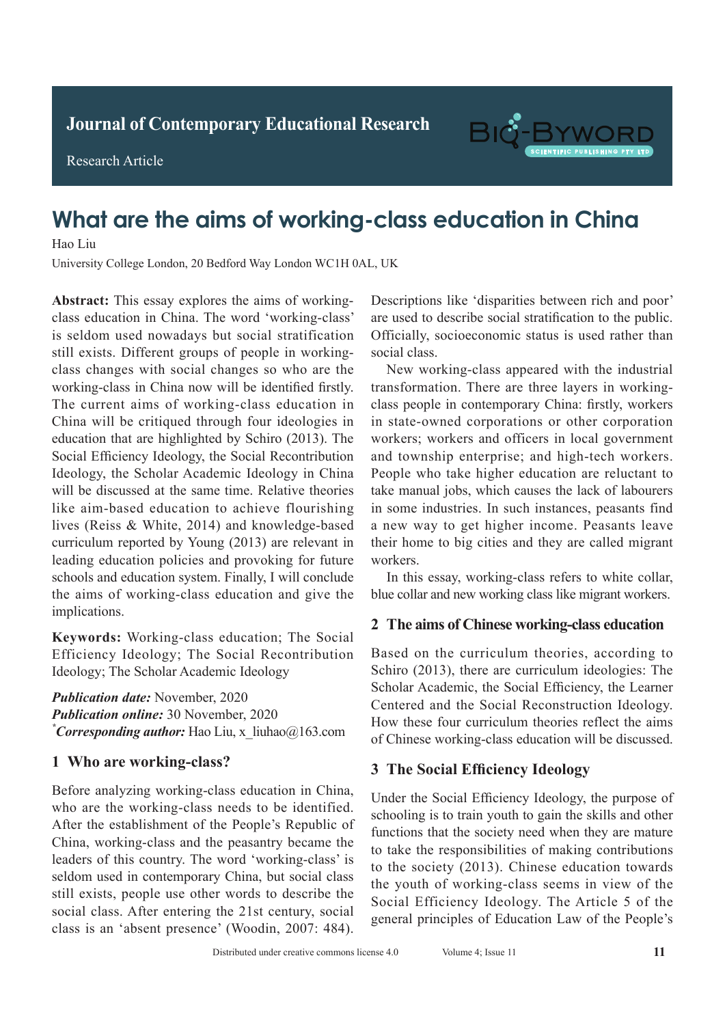**Journal of Clinical and Nursing Research Journal of Contemporary Educational Research**

**Research Article** 

Research Article



# What are the aims of working-class education in China **Diagnostic Value of Spiral Chest Engine Scan in Analysis Engine Scan in Analysis Engine Scan in Analysis Engine Scan in a set of Spiral Chest Engine Scan in a set of Spiral Chest Engine Scan in a set of Spiral Chest Engin**

Hao Liu

**Adult with Active Pulmonary Tuberculosis** University College London, 20 Bedford Way London WC1H 0AL, UK

 $T$  Affiliated Hospital of Chifeng College, China  $C$ **Absorption In Fig. 1.1.** The word working class is seldom used nowadays but social stratification spiral CT<sub>1</sub> chest end and *abstractive scan strutted statute statute statute statute of*  $\frac{1}{2}$  *still exists. Different groups of people in working*sum cass. *Direction* groups of people in working-<br>class changes with social changes so who are the  $\frac{60}{100}$  and  $\frac{60}{100}$  and  $\frac{60}{100}$  and  $\frac{60}{100}$  and  $\frac{60}{100}$  and  $\frac{60}{100}$  and  $\frac{60}{100}$  and  $\frac{60}{100}$  and  $\frac{60}{100}$  and  $\frac{60}{100}$  and  $\frac{60}{100}$  and  $\frac{60}{100}$  and  $\frac{60}{100}$  and working-class in China now will be identified firstly.<br>The clinical data of the clinical data of the clinical data of the clinical data of the clinical data of the cli The current aims of working-class education in  $\alpha$  $p_{\text{min}}$  with the chinese interventional chemical chemical chemical chemical chemical chemical chemical chemical chemical chemical chemical chemical chemical chemical chemical chemical chemical chemical chemical chemical education that are highlighted by Schiro (2013). The  $\alpha$  were retrospectively and  $\alpha$ Social Efficiency Ideology, the Social Recontribution Ideology, the Scholar Academic Ideology in China will be discussed at the same time. Relative theories like aim-based education to achieve flourishing lives (Reiss & White, 2014) and knowledge-based curriculum reported by Young (2013) are relevant in leading education policies and provoking for future schools and education system. Finally, I will conclude the aims of working-class education and give the implications. Abstract: This essay explores the aims of workingclass education in China. The word 'working-class' are used to describe China will be critiqued through four ideologies in

Keywords: Working-class education; The Social Efficiency Ideology; The Social Recontribution Ideology; The Scholar Academic Ideology  $\mathcal{L}$ 

that of conventional chest X-ray of 79.31%. *P*<0.05). **Publication date:** November, 2020 *Publication online:* 30 November, 2020 <sup>\*</sup>*Corresponding author:* Hao Liu, x\_liuhao@163.com  $\mathbf{r} = \mathbf{r}$  conclusion:  $\mathbf{r} = \mathbf{r}$ 

#### detected by conventional chest radiography, but also radiography, but also radiography, but also results in  $\theta$ **1 Who are working-class?**

Before analyzing working-class education in China, who are the working-class needs to be identified. After the establishment of the People's Republic of China, working-class and the peasantry became the reducts of this country. The word working class is<br>seldom used in contemporary China, but social class still exists, people use other words to describe the social class. After entering the 21st century, social class is an 'absent presence' (Woodin, 2007: 484). leaders of this country. The word 'working-class' is

no use to asserto social statification to the public. Officially, socioeconomic status is used rather than Descriptions like 'disparities between rich and poor' are used to describe social stratification to the public. social class.

social class.<br>New working-class appeared with the industrial Pulmonary tuberculosis appeared with the muastrian transformation. There are three layers in workingclass people in contemporary China: firstly, workers in state-owned corporations or other corporation workers; workers and officers in local government and township enterprise; and high-tech workers. People who take higher education are reluctant to take manual jobs, which causes the lack of labourers in some industries. In such instances, peasants find a new way to get higher income. Peasants leave their home to big cities and they are called migrant  $W$ OIKEIS. workers. The immunity decreases of  $\mathcal{L}_{\text{max}}$ 

In this essay, working-class refers to white collar, blue collar and new working class like migrant workers.  $\frac{1}{2}$  tuberculosis, but its operation is operation is operation is operation is operation is operation is operation is operation.

#### suitable for which for which is a property of  $\Gamma$ 2 The aims of Chinese working-class education

Based on the curriculum theories, according to Schiro (2013), there are curriculum ideologies: The Scholar Academic, the Social Efficiency, the Learner Centered and the Social Reconstruction Ideology. How these four curriculum theories reflect the aims of Chinese working-class education will be discussed. active pulmonary tuberculosis. suitable for widespread promotion. Chest X-ray has the  $\alpha$  based on the curriculum theories, according to

#### **1 Information and methods 3 The Social Efficiency Ideology** active pulled in the pulled of the pulled of the pulled of the pulled of the pulled of the pulled of the pulled of the pulled of the pulled of the pulled of the pulled of the pulled of the pulled of the pulled of the pulle

**1.1 Containstant information** is to train youth to gain the skills and other  $T_{\text{t}}$  and the society need with any are mature to take the responsibilities of making contributions that the responsibilities of making contributions to the society  $(2013)$ . Chinese education towards  $\ddot{a}$ the youth of working-class seems in view of the  $\tilde{p}$ Social Efficiency Ideology. The Article 5 of the general principles of Education Law of the People's Under the Social Efficiency Ideology, the purpose of functions that the society need when they are mature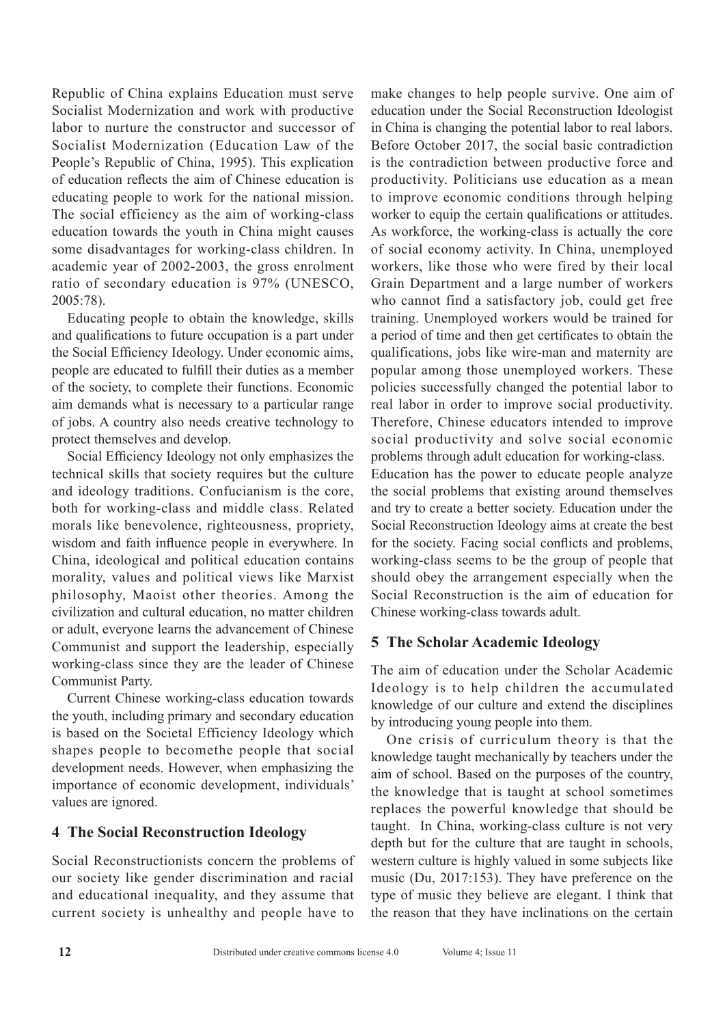Republic of China explains Education must serve Socialist Modernization and work with productive labor to nurture the constructor and successor of Socialist Modernization (Education Law of the People's Republic of China, 1995). This explication of education reflects the aim of Chinese education is educating people to work for the national mission. The social efficiency as the aim of working-class education towards the youth in China might causes some disadvantages for working-class children. In academic year of 2002-2003, the gross enrolment ratio of secondary education is 97% (UNESCO, 2005:78).

Educating people to obtain the knowledge, skills and qualifications to future occupation is a part under the Social Efficiency Ideology. Under economic aims, people are educated to fulfill their duties as a member of the society, to complete their functions. Economic aim demands what is necessary to a particular range of jobs. A country also needs creative technology to protect themselves and develop.

Social Efficiency Ideology not only emphasizes the technical skills that society requires but the culture and ideology traditions. Confucianism is the core, both for working-class and middle class. Related morals like benevolence, righteousness, propriety, wisdom and faith influence people in everywhere. In China, ideological and political education contains morality, values and political views like Marxist philosophy, Maoist other theories. Among the civilization and cultural education, no matter children or adult, everyone learns the advancement of Chinese Communist and support the leadership, especially working-class since they are the leader of Chinese Communist Party.

Current Chinese working-class education towards the youth, including primary and secondary education is based on the Societal Efficiency Ideology which shapes people to becomethe people that social development needs. However, when emphasizing the importance of economic development, individuals' values are ignored.

### **4 The Social Reconstruction Ideology**

Social Reconstructionists concern the problems of our society like gender discrimination and racial and educational inequality, and they assume that current society is unhealthy and people have to make changes to help people survive. One aim of education under the Social Reconstruction Ideologist in China is changing the potential labor to real labors. Before October 2017, the social basic contradiction is the contradiction between productive force and productivity. Politicians use education as a mean to improve economic conditions through helping worker to equip the certain qualifications or attitudes. As workforce, the working-class is actually the core of social economy activity. In China, unemployed workers, like those who were fired by their local Grain Department and a large number of workers who cannot find a satisfactory job, could get free training. Unemployed workers would be trained for a period of time and then get certificates to obtain the qualifications, jobs like wire-man and maternity are popular among those unemployed workers. These policies successfully changed the potential labor to real labor in order to improve social productivity. Therefore, Chinese educators intended to improve social productivity and solve social economic problems through adult education for working-class. Education has the power to educate people analyze the social problems that existing around themselves and try to create a better society. Education under the Social Reconstruction Ideology aims at create the best for the society. Facing social conflicts and problems, working-class seems to be the group of people that should obey the arrangement especially when the Social Reconstruction is the aim of education for Chinese working-class towards adult.

## **5 The Scholar Academic Ideology**

The aim of education under the Scholar Academic Ideology is to help children the accumulated knowledge of our culture and extend the disciplines by introducing young people into them.

One crisis of curriculum theory is that the knowledge taught mechanically by teachers under the aim of school. Based on the purposes of the country, the knowledge that is taught at school sometimes replaces the powerful knowledge that should be taught. In China, working-class culture is not very depth but for the culture that are taught in schools, western culture is highly valued in some subjects like music (Du, 2017:153). They have preference on the type of music they believe are elegant. I think that the reason that they have inclinations on the certain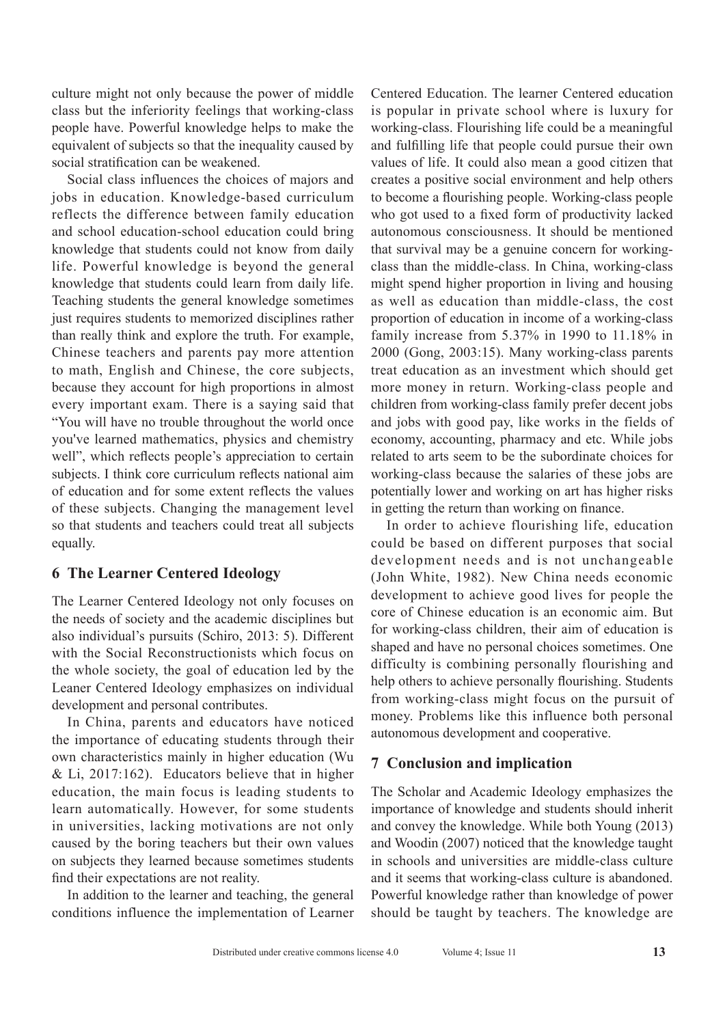culture might not only because the power of middle class but the inferiority feelings that working-class people have. Powerful knowledge helps to make the equivalent of subjects so that the inequality caused by social stratification can be weakened.

Social class influences the choices of majors and jobs in education. Knowledge-based curriculum reflects the difference between family education and school education-school education could bring knowledge that students could not know from daily life. Powerful knowledge is beyond the general knowledge that students could learn from daily life. Teaching students the general knowledge sometimes just requires students to memorized disciplines rather than really think and explore the truth. For example, Chinese teachers and parents pay more attention to math, English and Chinese, the core subjects, because they account for high proportions in almost every important exam. There is a saying said that "You will have no trouble throughout the world once you've learned mathematics, physics and chemistry well", which reflects people's appreciation to certain subjects. I think core curriculum reflects national aim of education and for some extent reflects the values of these subjects. Changing the management level so that students and teachers could treat all subjects equally.

### **6 The Learner Centered Ideology**

The Learner Centered Ideology not only focuses on the needs of society and the academic disciplines but also individual's pursuits (Schiro, 2013: 5). Different with the Social Reconstructionists which focus on the whole society, the goal of education led by the Leaner Centered Ideology emphasizes on individual development and personal contributes.

In China, parents and educators have noticed the importance of educating students through their own characteristics mainly in higher education (Wu & Li, 2017:162). Educators believe that in higher education, the main focus is leading students to learn automatically. However, for some students in universities, lacking motivations are not only caused by the boring teachers but their own values on subjects they learned because sometimes students find their expectations are not reality.

In addition to the learner and teaching, the general conditions influence the implementation of Learner Centered Education. The learner Centered education is popular in private school where is luxury for working-class. Flourishing life could be a meaningful and fulfilling life that people could pursue their own values of life. It could also mean a good citizen that creates a positive social environment and help others to become a flourishing people. Working-class people who got used to a fixed form of productivity lacked autonomous consciousness. It should be mentioned that survival may be a genuine concern for workingclass than the middle-class. In China, working-class might spend higher proportion in living and housing as well as education than middle-class, the cost proportion of education in income of a working-class family increase from 5.37% in 1990 to 11.18% in 2000 (Gong, 2003:15). Many working-class parents treat education as an investment which should get more money in return. Working-class people and children from working-class family prefer decent jobs and jobs with good pay, like works in the fields of economy, accounting, pharmacy and etc. While jobs related to arts seem to be the subordinate choices for working-class because the salaries of these jobs are potentially lower and working on art has higher risks in getting the return than working on finance.

In order to achieve flourishing life, education could be based on different purposes that social development needs and is not unchangeable (John White, 1982). New China needs economic development to achieve good lives for people the core of Chinese education is an economic aim. But for working-class children, their aim of education is shaped and have no personal choices sometimes. One difficulty is combining personally flourishing and help others to achieve personally flourishing. Students from working-class might focus on the pursuit of money. Problems like this influence both personal autonomous development and cooperative.

### **7 Conclusion and implication**

The Scholar and Academic Ideology emphasizes the importance of knowledge and students should inherit and convey the knowledge. While both Young (2013) and Woodin (2007) noticed that the knowledge taught in schools and universities are middle-class culture and it seems that working-class culture is abandoned. Powerful knowledge rather than knowledge of power should be taught by teachers. The knowledge are